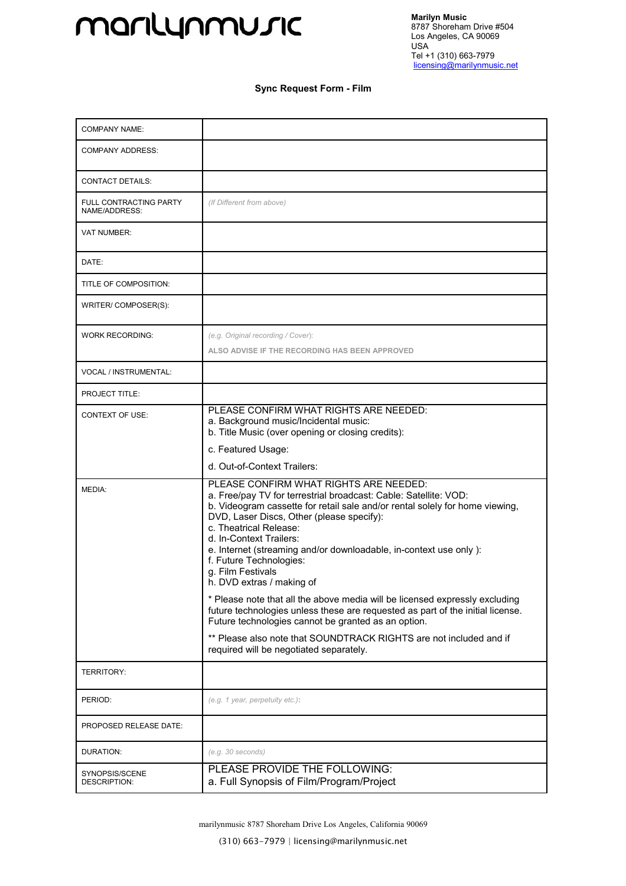## marilynmusic

## **Sync Request Form - Film**

| <b>COMPANY NAME:</b>                    |                                                                                                                                                                                                                                                                                                                                                                                                                                                                                                                                                                                                                                                                        |
|-----------------------------------------|------------------------------------------------------------------------------------------------------------------------------------------------------------------------------------------------------------------------------------------------------------------------------------------------------------------------------------------------------------------------------------------------------------------------------------------------------------------------------------------------------------------------------------------------------------------------------------------------------------------------------------------------------------------------|
| <b>COMPANY ADDRESS:</b>                 |                                                                                                                                                                                                                                                                                                                                                                                                                                                                                                                                                                                                                                                                        |
| <b>CONTACT DETAILS:</b>                 |                                                                                                                                                                                                                                                                                                                                                                                                                                                                                                                                                                                                                                                                        |
| FULL CONTRACTING PARTY<br>NAME/ADDRESS: | (If Different from above)                                                                                                                                                                                                                                                                                                                                                                                                                                                                                                                                                                                                                                              |
| <b>VAT NUMBER:</b>                      |                                                                                                                                                                                                                                                                                                                                                                                                                                                                                                                                                                                                                                                                        |
| DATE:                                   |                                                                                                                                                                                                                                                                                                                                                                                                                                                                                                                                                                                                                                                                        |
| TITLE OF COMPOSITION:                   |                                                                                                                                                                                                                                                                                                                                                                                                                                                                                                                                                                                                                                                                        |
| WRITER/COMPOSER(S):                     |                                                                                                                                                                                                                                                                                                                                                                                                                                                                                                                                                                                                                                                                        |
| <b>WORK RECORDING:</b>                  | (e.g. Original recording / Cover):                                                                                                                                                                                                                                                                                                                                                                                                                                                                                                                                                                                                                                     |
|                                         | ALSO ADVISE IF THE RECORDING HAS BEEN APPROVED                                                                                                                                                                                                                                                                                                                                                                                                                                                                                                                                                                                                                         |
| VOCAL / INSTRUMENTAL:                   |                                                                                                                                                                                                                                                                                                                                                                                                                                                                                                                                                                                                                                                                        |
| PROJECT TITLE:                          |                                                                                                                                                                                                                                                                                                                                                                                                                                                                                                                                                                                                                                                                        |
| <b>CONTEXT OF USE:</b>                  | PLEASE CONFIRM WHAT RIGHTS ARE NEEDED:<br>a. Background music/Incidental music:<br>b. Title Music (over opening or closing credits):                                                                                                                                                                                                                                                                                                                                                                                                                                                                                                                                   |
|                                         | c. Featured Usage:                                                                                                                                                                                                                                                                                                                                                                                                                                                                                                                                                                                                                                                     |
|                                         | d. Out-of-Context Trailers:                                                                                                                                                                                                                                                                                                                                                                                                                                                                                                                                                                                                                                            |
| MEDIA:                                  | PLEASE CONFIRM WHAT RIGHTS ARE NEEDED:<br>a. Free/pay TV for terrestrial broadcast: Cable: Satellite: VOD:<br>b. Videogram cassette for retail sale and/or rental solely for home viewing,<br>DVD, Laser Discs, Other (please specify):<br>c. Theatrical Release:<br>d. In-Context Trailers:<br>e. Internet (streaming and/or downloadable, in-context use only):<br>f. Future Technologies:<br>g. Film Festivals<br>h. DVD extras / making of<br>* Please note that all the above media will be licensed expressly excluding<br>future technologies unless these are requested as part of the initial license.<br>Future technologies cannot be granted as an option. |
|                                         | ** Please also note that SOUNDTRACK RIGHTS are not included and if<br>required will be negotiated separately.                                                                                                                                                                                                                                                                                                                                                                                                                                                                                                                                                          |
| <b>TERRITORY:</b>                       |                                                                                                                                                                                                                                                                                                                                                                                                                                                                                                                                                                                                                                                                        |
| PERIOD:                                 | (e.g. 1 year, perpetuity etc.):                                                                                                                                                                                                                                                                                                                                                                                                                                                                                                                                                                                                                                        |
| PROPOSED RELEASE DATE:                  |                                                                                                                                                                                                                                                                                                                                                                                                                                                                                                                                                                                                                                                                        |
| DURATION:                               | (e.g. 30 seconds)                                                                                                                                                                                                                                                                                                                                                                                                                                                                                                                                                                                                                                                      |
| SYNOPSIS/SCENE<br><b>DESCRIPTION:</b>   | PLEASE PROVIDE THE FOLLOWING:<br>a. Full Synopsis of Film/Program/Project                                                                                                                                                                                                                                                                                                                                                                                                                                                                                                                                                                                              |

marilynmusic 8787 Shoreham Drive Los Angeles, California 90069